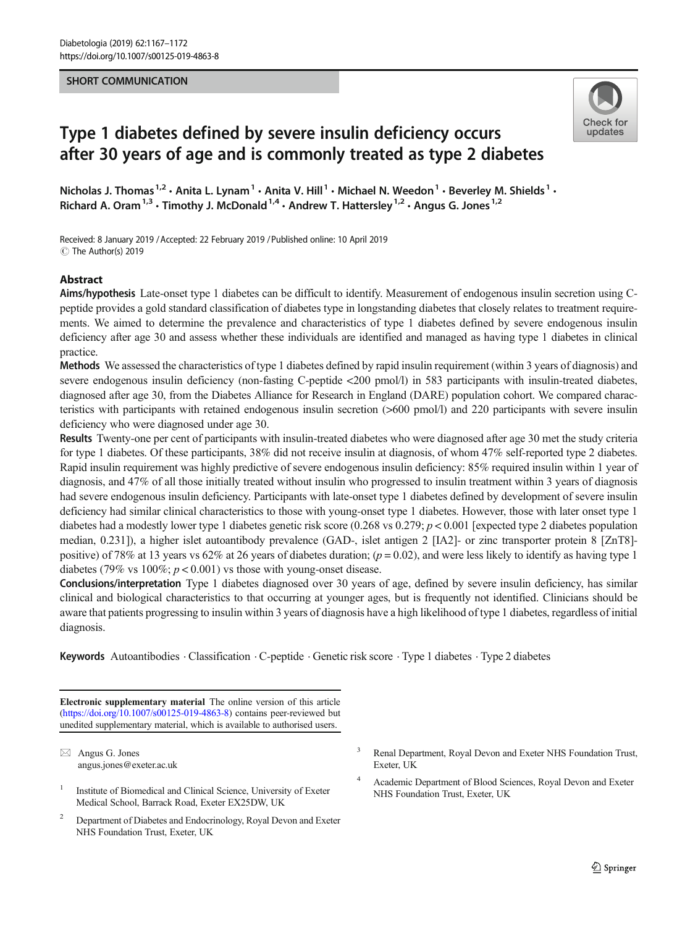## SHORT COMMUNICATION



# Type 1 diabetes defined by severe insulin deficiency occurs after 30 years of age and is commonly treated as type 2 diabetes

Nicholas J. Thomas<sup>1,2</sup> • Anita L. Lynam<sup>1</sup> • Anita V. Hill<sup>1</sup> • Michael N. Weedon<sup>1</sup> • Beverley M. Shields<sup>1</sup> • Richard A. Oram<sup>1,3</sup> • Timothy J. McDonald<sup>1,4</sup> • Andrew T. Hattersley<sup>1,2</sup> • Angus G. Jones<sup>1,2</sup>

Received: 8 January 2019 /Accepted: 22 February 2019 /Published online: 10 April 2019  $\circledcirc$  The Author(s) 2019

## Abstract

Aims/hypothesis Late-onset type 1 diabetes can be difficult to identify. Measurement of endogenous insulin secretion using Cpeptide provides a gold standard classification of diabetes type in longstanding diabetes that closely relates to treatment requirements. We aimed to determine the prevalence and characteristics of type 1 diabetes defined by severe endogenous insulin deficiency after age 30 and assess whether these individuals are identified and managed as having type 1 diabetes in clinical practice.

Methods We assessed the characteristics of type 1 diabetes defined by rapid insulin requirement (within 3 years of diagnosis) and severe endogenous insulin deficiency (non-fasting C-peptide <200 pmol/l) in 583 participants with insulin-treated diabetes, diagnosed after age 30, from the Diabetes Alliance for Research in England (DARE) population cohort. We compared characteristics with participants with retained endogenous insulin secretion (>600 pmol/l) and 220 participants with severe insulin deficiency who were diagnosed under age 30.

Results Twenty-one per cent of participants with insulin-treated diabetes who were diagnosed after age 30 met the study criteria for type 1 diabetes. Of these participants, 38% did not receive insulin at diagnosis, of whom 47% self-reported type 2 diabetes. Rapid insulin requirement was highly predictive of severe endogenous insulin deficiency: 85% required insulin within 1 year of diagnosis, and 47% of all those initially treated without insulin who progressed to insulin treatment within 3 years of diagnosis had severe endogenous insulin deficiency. Participants with late-onset type 1 diabetes defined by development of severe insulin deficiency had similar clinical characteristics to those with young-onset type 1 diabetes. However, those with later onset type 1 diabetes had a modestly lower type 1 diabetes genetic risk score (0.268 vs 0.279;  $p < 0.001$  [expected type 2 diabetes population median, 0.231]), a higher islet autoantibody prevalence (GAD-, islet antigen 2 [IA2]- or zinc transporter protein 8 [ZnT8] positive) of 78% at 13 years vs 62% at 26 years of diabetes duration;  $(p = 0.02)$ , and were less likely to identify as having type 1 diabetes (79% vs  $100\%$ ;  $p < 0.001$ ) vs those with young-onset disease.

Conclusions/interpretation Type 1 diabetes diagnosed over 30 years of age, defined by severe insulin deficiency, has similar clinical and biological characteristics to that occurring at younger ages, but is frequently not identified. Clinicians should be aware that patients progressing to insulin within 3 years of diagnosis have a high likelihood of type 1 diabetes, regardless of initial diagnosis.

Keywords Autoantibodies · Classification · C-peptide · Genetic risk score · Type 1 diabetes · Type 2 diabetes

Electronic supplementary material The online version of this article (<https://doi.org/10.1007/s00125-019-4863-8>) contains peer-reviewed but unedited supplementary material, which is available to authorised users.

 $\boxtimes$  Angus G. Jones [angus.jones@exeter.ac.uk](mailto:angus.jones@exeter.ac.uk)

- <sup>1</sup> Institute of Biomedical and Clinical Science, University of Exeter Medical School, Barrack Road, Exeter EX25DW, UK
- <sup>2</sup> Department of Diabetes and Endocrinology, Royal Devon and Exeter NHS Foundation Trust, Exeter, UK
- <sup>3</sup> Renal Department, Royal Devon and Exeter NHS Foundation Trust, Exeter, UK
- <sup>4</sup> Academic Department of Blood Sciences, Royal Devon and Exeter NHS Foundation Trust, Exeter, UK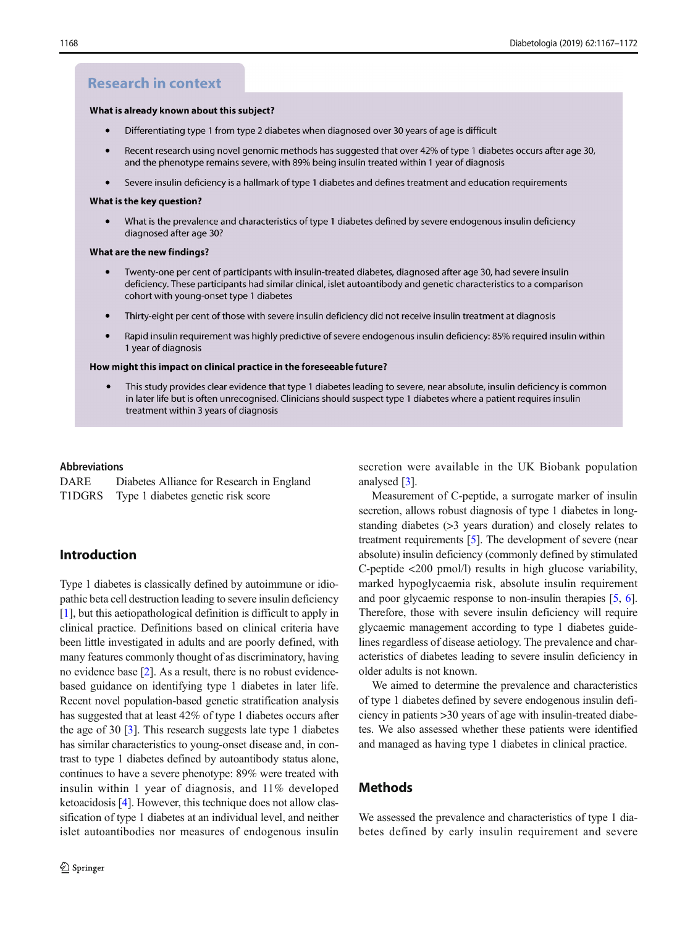# **Research in context**

#### What is already known about this subject?

- $\bullet$ Differentiating type 1 from type 2 diabetes when diagnosed over 30 years of age is difficult
- Recent research using novel genomic methods has suggested that over 42% of type 1 diabetes occurs after age 30, and the phenotype remains severe, with 89% being insulin treated within 1 year of diagnosis
- Severe insulin deficiency is a hallmark of type 1 diabetes and defines treatment and education requirements  $\bullet$

#### What is the key question?

What is the prevalence and characteristics of type 1 diabetes defined by severe endogenous insulin deficiency diagnosed after age 30?

#### What are the new findings?

- Twenty-one per cent of participants with insulin-treated diabetes, diagnosed after age 30, had severe insulin deficiency. These participants had similar clinical, islet autoantibody and genetic characteristics to a comparison cohort with young-onset type 1 diabetes
- Thirty-eight per cent of those with severe insulin deficiency did not receive insulin treatment at diagnosis  $\bullet$
- Rapid insulin requirement was highly predictive of severe endogenous insulin deficiency: 85% required insulin within 1 year of diagnosis

#### How might this impact on clinical practice in the foreseeable future?

This study provides clear evidence that type 1 diabetes leading to severe, near absolute, insulin deficiency is common in later life but is often unrecognised. Clinicians should suspect type 1 diabetes where a patient requires insulin treatment within 3 years of diagnosis

### Abbreviations

| DARE   | Diabetes Alliance for Research in England |  |  |  |  |
|--------|-------------------------------------------|--|--|--|--|
| T1DGRS | Type 1 diabetes genetic risk score        |  |  |  |  |

## Introduction

Type 1 diabetes is classically defined by autoimmune or idiopathic beta cell destruction leading to severe insulin deficiency [\[1](#page-5-0)], but this aetiopathological definition is difficult to apply in clinical practice. Definitions based on clinical criteria have been little investigated in adults and are poorly defined, with many features commonly thought of as discriminatory, having no evidence base [\[2\]](#page-5-0). As a result, there is no robust evidencebased guidance on identifying type 1 diabetes in later life. Recent novel population-based genetic stratification analysis has suggested that at least 42% of type 1 diabetes occurs after the age of 30 [\[3\]](#page-5-0). This research suggests late type 1 diabetes has similar characteristics to young-onset disease and, in contrast to type 1 diabetes defined by autoantibody status alone, continues to have a severe phenotype: 89% were treated with insulin within 1 year of diagnosis, and 11% developed ketoacidosis [\[4\]](#page-5-0). However, this technique does not allow classification of type 1 diabetes at an individual level, and neither islet autoantibodies nor measures of endogenous insulin secretion were available in the UK Biobank population analysed [[3\]](#page-5-0).

Measurement of C-peptide, a surrogate marker of insulin secretion, allows robust diagnosis of type 1 diabetes in longstanding diabetes (>3 years duration) and closely relates to treatment requirements [[5\]](#page-5-0). The development of severe (near absolute) insulin deficiency (commonly defined by stimulated C-peptide <200 pmol/l) results in high glucose variability, marked hypoglycaemia risk, absolute insulin requirement and poor glycaemic response to non-insulin therapies [\[5](#page-5-0), [6\]](#page-5-0). Therefore, those with severe insulin deficiency will require glycaemic management according to type 1 diabetes guidelines regardless of disease aetiology. The prevalence and characteristics of diabetes leading to severe insulin deficiency in older adults is not known.

We aimed to determine the prevalence and characteristics of type 1 diabetes defined by severe endogenous insulin deficiency in patients >30 years of age with insulin-treated diabetes. We also assessed whether these patients were identified and managed as having type 1 diabetes in clinical practice.

## **Methods**

We assessed the prevalence and characteristics of type 1 diabetes defined by early insulin requirement and severe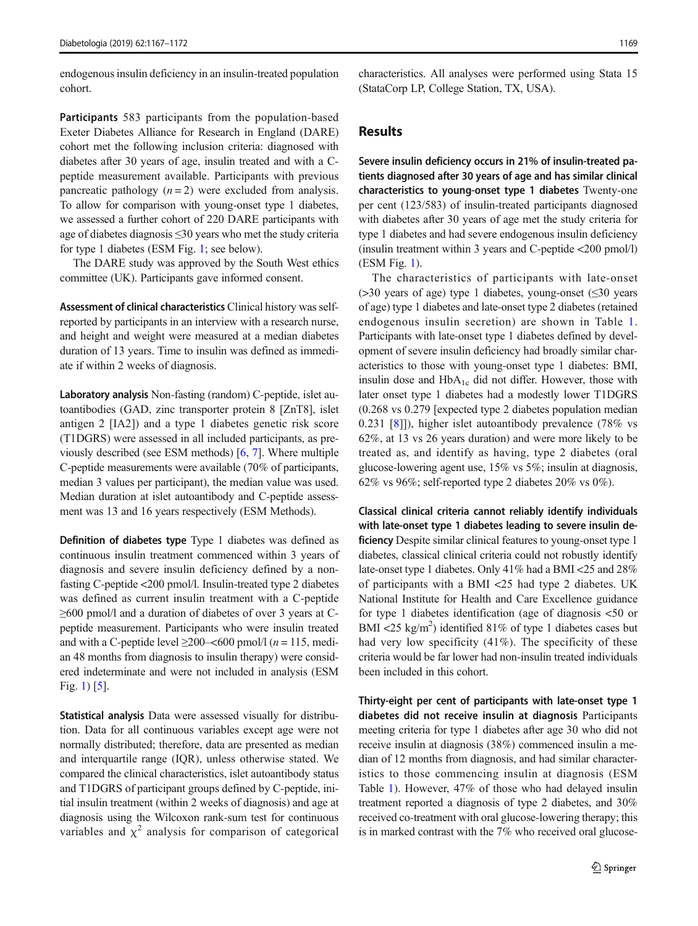endogenous insulin deficiency in an insulin-treated population cohort.

Participants 583 participants from the population-based Exeter Diabetes Alliance for Research in England (DARE) cohort met the following inclusion criteria: diagnosed with diabetes after 30 years of age, insulin treated and with a Cpeptide measurement available. Participants with previous pancreatic pathology  $(n = 2)$  were excluded from analysis. To allow for comparison with young-onset type 1 diabetes, we assessed a further cohort of 220 DARE participants with age of diabetes diagnosis ≤30 years who met the study criteria for type 1 diabetes (ESM Fig. 1; see below).

The DARE study was approved by the South West ethics committee (UK). Participants gave informed consent.

Assessment of clinical characteristics Clinical history was selfreported by participants in an interview with a research nurse, and height and weight were measured at a median diabetes duration of 13 years. Time to insulin was defined as immediate if within 2 weeks of diagnosis.

Laboratory analysis Non-fasting (random) C-peptide, islet autoantibodies (GAD, zinc transporter protein 8 [ZnT8], islet antigen 2 [IA2]) and a type 1 diabetes genetic risk score (T1DGRS) were assessed in all included participants, as previously described (see ESM methods) [\[6,](#page-5-0) [7](#page-5-0)]. Where multiple C-peptide measurements were available (70% of participants, median 3 values per participant), the median value was used. Median duration at islet autoantibody and C-peptide assessment was 13 and 16 years respectively (ESM Methods).

Definition of diabetes type Type 1 diabetes was defined as continuous insulin treatment commenced within 3 years of diagnosis and severe insulin deficiency defined by a nonfasting C-peptide <200 pmol/l. Insulin-treated type 2 diabetes was defined as current insulin treatment with a C-peptide ≥600 pmol/l and a duration of diabetes of over 3 years at Cpeptide measurement. Participants who were insulin treated and with a C-peptide level  $\geq$ 200–<600 pmol/l (*n* = 115, median 48 months from diagnosis to insulin therapy) were considered indeterminate and were not included in analysis (ESM Fig. 1) [[5\]](#page-5-0).

Statistical analysis Data were assessed visually for distribution. Data for all continuous variables except age were not normally distributed; therefore, data are presented as median and interquartile range (IQR), unless otherwise stated. We compared the clinical characteristics, islet autoantibody status and T1DGRS of participant groups defined by C-peptide, initial insulin treatment (within 2 weeks of diagnosis) and age at diagnosis using the Wilcoxon rank-sum test for continuous variables and  $\chi^2$  analysis for comparison of categorical characteristics. All analyses were performed using Stata 15 (StataCorp LP, College Station, TX, USA).

## Results

Severe insulin deficiency occurs in 21% of insulin-treated patients diagnosed after 30 years of age and has similar clinical characteristics to young-onset type 1 diabetes Twenty-one per cent (123/583) of insulin-treated participants diagnosed with diabetes after 30 years of age met the study criteria for type 1 diabetes and had severe endogenous insulin deficiency (insulin treatment within 3 years and C-peptide <200 pmol/l) (ESM Fig. 1).

The characteristics of participants with late-onset ( $>30$  years of age) type 1 diabetes, young-onset ( $\leq 30$  years of age) type 1 diabetes and late-onset type 2 diabetes (retained endogenous insulin secretion) are shown in Table [1.](#page-3-0) Participants with late-onset type 1 diabetes defined by development of severe insulin deficiency had broadly similar characteristics to those with young-onset type 1 diabetes: BMI, insulin dose and  $HbA_{1c}$  did not differ. However, those with later onset type 1 diabetes had a modestly lower T1DGRS (0.268 vs 0.279 [expected type 2 diabetes population median 0.231 [[8\]](#page-5-0)]), higher islet autoantibody prevalence (78% vs 62%, at 13 vs 26 years duration) and were more likely to be treated as, and identify as having, type 2 diabetes (oral glucose-lowering agent use, 15% vs 5%; insulin at diagnosis, 62% vs 96%; self-reported type 2 diabetes 20% vs 0%).

Classical clinical criteria cannot reliably identify individuals with late-onset type 1 diabetes leading to severe insulin deficiency Despite similar clinical features to young-onset type 1 diabetes, classical clinical criteria could not robustly identify late-onset type 1 diabetes. Only 41% had a BMI <25 and 28% of participants with a BMI <25 had type 2 diabetes. UK National Institute for Health and Care Excellence guidance for type 1 diabetes identification (age of diagnosis <50 or BMI <25 kg/m<sup>2</sup>) identified 81% of type 1 diabetes cases but had very low specificity (41%). The specificity of these criteria would be far lower had non-insulin treated individuals been included in this cohort.

Thirty-eight per cent of participants with late-onset type 1 diabetes did not receive insulin at diagnosis Participants meeting criteria for type 1 diabetes after age 30 who did not receive insulin at diagnosis (38%) commenced insulin a median of 12 months from diagnosis, and had similar characteristics to those commencing insulin at diagnosis (ESM Table 1). However, 47% of those who had delayed insulin treatment reported a diagnosis of type 2 diabetes, and 30% received co-treatment with oral glucose-lowering therapy; this is in marked contrast with the 7% who received oral glucose-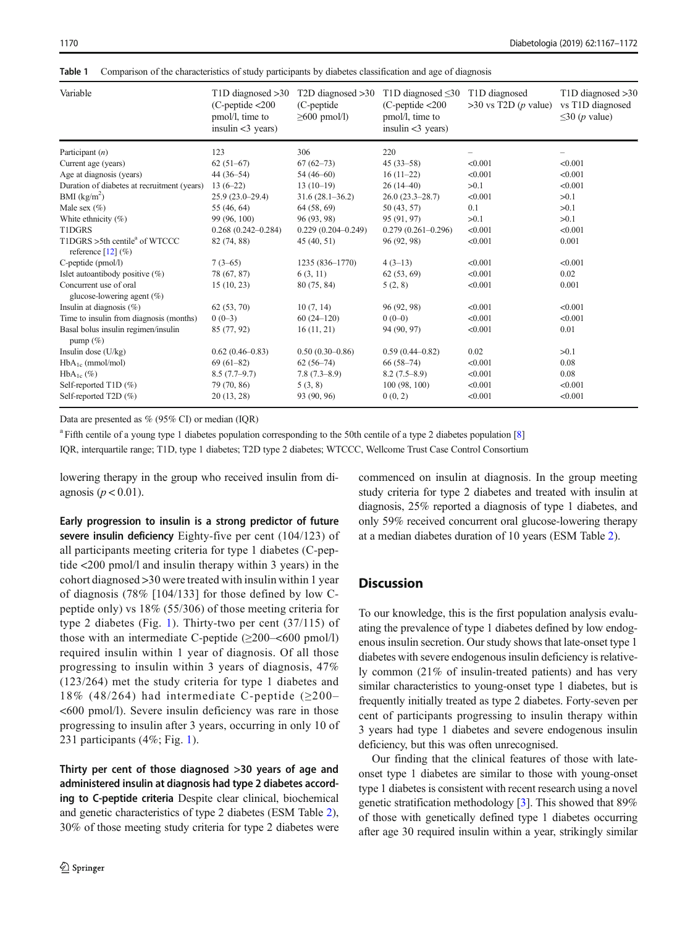<span id="page-3-0"></span>1170 Diabetologia (2019) 62:1167–1172

Table 1 Comparison of the characteristics of study participants by diabetes classification and age of diagnosis

| Variable                                                          | $T1D$ diagnosed $>30$<br>$(C$ -peptide $<$ 200<br>pmol/l, time to<br>insulin $<$ 3 years) | $T2D$ diagnosed $>30$<br>(C-peptide)<br>$\geq 600$ pmol/l) | T1D diagnosed $\leq 30$<br>$(C$ -peptide $<$ 200<br>pmol/l, time to<br>insulin $<$ 3 years) | T <sub>1</sub> D diagnosed<br>$>30$ vs T2D ( <i>p</i> value) | $T1D$ diagnosed $>30$<br>vs T1D diagnosed<br>$\leq$ 30 ( <i>p</i> value) |
|-------------------------------------------------------------------|-------------------------------------------------------------------------------------------|------------------------------------------------------------|---------------------------------------------------------------------------------------------|--------------------------------------------------------------|--------------------------------------------------------------------------|
| Participant $(n)$                                                 | 123                                                                                       | 306                                                        | 220                                                                                         |                                                              |                                                                          |
| Current age (years)                                               | $62(51-67)$                                                                               | $67(62 - 73)$                                              | $45(33 - 58)$                                                                               | < 0.001                                                      | < 0.001                                                                  |
| Age at diagnosis (years)                                          | $44(36-54)$                                                                               | $54(46-60)$                                                | $16(11-22)$                                                                                 | < 0.001                                                      | < 0.001                                                                  |
| Duration of diabetes at recruitment (years)                       | $13(6-22)$                                                                                | $13(10-19)$                                                | $26(14-40)$                                                                                 | >0.1                                                         | < 0.001                                                                  |
| $BMI$ (kg/m <sup>2</sup> )                                        | $25.9(23.0-29.4)$                                                                         | $31.6(28.1 - 36.2)$                                        | $26.0(23.3-28.7)$                                                                           | < 0.001                                                      | >0.1                                                                     |
| Male sex $(\% )$                                                  | 55 (46, 64)                                                                               | 64 (58, 69)                                                | 50 (43, 57)                                                                                 | 0.1                                                          | >0.1                                                                     |
| White ethnicity $(\%)$                                            | 99 (96, 100)                                                                              | 96 (93, 98)                                                | 95 (91, 97)                                                                                 | >0.1                                                         | >0.1                                                                     |
| T1DGRS                                                            | $0.268(0.242 - 0.284)$                                                                    | $0.229(0.204 - 0.249)$                                     | $0.279(0.261 - 0.296)$                                                                      | < 0.001                                                      | < 0.001                                                                  |
| T1DGRS >5th centile <sup>a</sup> of WTCCC<br>reference $[12]$ (%) | 82 (74, 88)                                                                               | 45(40, 51)                                                 | 96 (92, 98)                                                                                 | < 0.001                                                      | 0.001                                                                    |
| C-peptide (pmol/l)                                                | $7(3-65)$                                                                                 | 1235 (836-1770)                                            | $4(3-13)$                                                                                   | < 0.001                                                      | < 0.001                                                                  |
| Islet autoantibody positive $(\%)$                                | 78 (67, 87)                                                                               | 6(3, 11)                                                   | 62(53, 69)                                                                                  | < 0.001                                                      | 0.02                                                                     |
| Concurrent use of oral<br>glucose-lowering agent (%)              | 15(10, 23)                                                                                | 80 (75, 84)                                                | 5(2, 8)                                                                                     | < 0.001                                                      | 0.001                                                                    |
| Insulin at diagnosis $(\%)$                                       | 62(53, 70)                                                                                | 10(7, 14)                                                  | 96 (92, 98)                                                                                 | < 0.001                                                      | < 0.001                                                                  |
| Time to insulin from diagnosis (months)                           | $0(0-3)$                                                                                  | $60(24-120)$                                               | $0(0-0)$                                                                                    | < 0.001                                                      | < 0.001                                                                  |
| Basal bolus insulin regimen/insulin<br>pump $(\% )$               | 85 (77, 92)                                                                               | 16(11, 21)                                                 | 94 (90, 97)                                                                                 | < 0.001                                                      | 0.01                                                                     |
| Insulin dose $(U/kg)$                                             | $0.62(0.46 - 0.83)$                                                                       | $0.50(0.30 - 0.86)$                                        | $0.59(0.44 - 0.82)$                                                                         | 0.02                                                         | >0.1                                                                     |
| $HbA_{1c}$ (mmol/mol)                                             | $69(61-82)$                                                                               | $62(56-74)$                                                | $66(58-74)$                                                                                 | < 0.001                                                      | 0.08                                                                     |
| $HbA_{1c}(\%)$                                                    | $8.5(7.7-9.7)$                                                                            | $7.8(7.3 - 8.9)$                                           | $8.2(7.5-8.9)$                                                                              | < 0.001                                                      | 0.08                                                                     |
| Self-reported $T1D(\%)$                                           | 79 (70, 86)                                                                               | 5(3, 8)                                                    | 100 (98, 100)                                                                               | < 0.001                                                      | < 0.001                                                                  |
| Self-reported T2D (%)                                             | 20(13, 28)                                                                                | 93 (90, 96)                                                | 0(0, 2)                                                                                     | < 0.001                                                      | < 0.001                                                                  |

Data are presented as % (95% CI) or median (IQR)

<sup>a</sup> Fifth centile of a young type 1 diabetes population corresponding to the 50th centile of a type 2 diabetes population [\[8](#page-5-0)]

IQR, interquartile range; T1D, type 1 diabetes; T2D type 2 diabetes; WTCCC, Wellcome Trust Case Control Consortium

lowering therapy in the group who received insulin from diagnosis ( $p < 0.01$ ).

Early progression to insulin is a strong predictor of future severe insulin deficiency Eighty-five per cent (104/123) of all participants meeting criteria for type 1 diabetes (C-peptide <200 pmol/l and insulin therapy within 3 years) in the cohort diagnosed >30 were treated with insulin within 1 year of diagnosis (78% [104/133] for those defined by low Cpeptide only) vs 18% (55/306) of those meeting criteria for type 2 diabetes (Fig. [1\)](#page-4-0). Thirty-two per cent (37/115) of those with an intermediate C-peptide  $(\geq 200 - 600 \text{ pmol/l})$ required insulin within 1 year of diagnosis. Of all those progressing to insulin within 3 years of diagnosis, 47% (123/264) met the study criteria for type 1 diabetes and 18% (48/264) had intermediate C-peptide ( $\geq$ 200– <600 pmol/l). Severe insulin deficiency was rare in those progressing to insulin after 3 years, occurring in only 10 of 231 participants (4%; Fig. [1](#page-4-0)).

Thirty per cent of those diagnosed >30 years of age and administered insulin at diagnosis had type 2 diabetes according to C-peptide criteria Despite clear clinical, biochemical and genetic characteristics of type 2 diabetes (ESM Table 2), 30% of those meeting study criteria for type 2 diabetes were commenced on insulin at diagnosis. In the group meeting study criteria for type 2 diabetes and treated with insulin at diagnosis, 25% reported a diagnosis of type 1 diabetes, and only 59% received concurrent oral glucose-lowering therapy at a median diabetes duration of 10 years (ESM Table 2).

# **Discussion**

To our knowledge, this is the first population analysis evaluating the prevalence of type 1 diabetes defined by low endogenous insulin secretion. Our study shows that late-onset type 1 diabetes with severe endogenous insulin deficiency is relatively common (21% of insulin-treated patients) and has very similar characteristics to young-onset type 1 diabetes, but is frequently initially treated as type 2 diabetes. Forty-seven per cent of participants progressing to insulin therapy within 3 years had type 1 diabetes and severe endogenous insulin deficiency, but this was often unrecognised.

Our finding that the clinical features of those with lateonset type 1 diabetes are similar to those with young-onset type 1 diabetes is consistent with recent research using a novel genetic stratification methodology [\[3](#page-5-0)]. This showed that 89% of those with genetically defined type 1 diabetes occurring after age 30 required insulin within a year, strikingly similar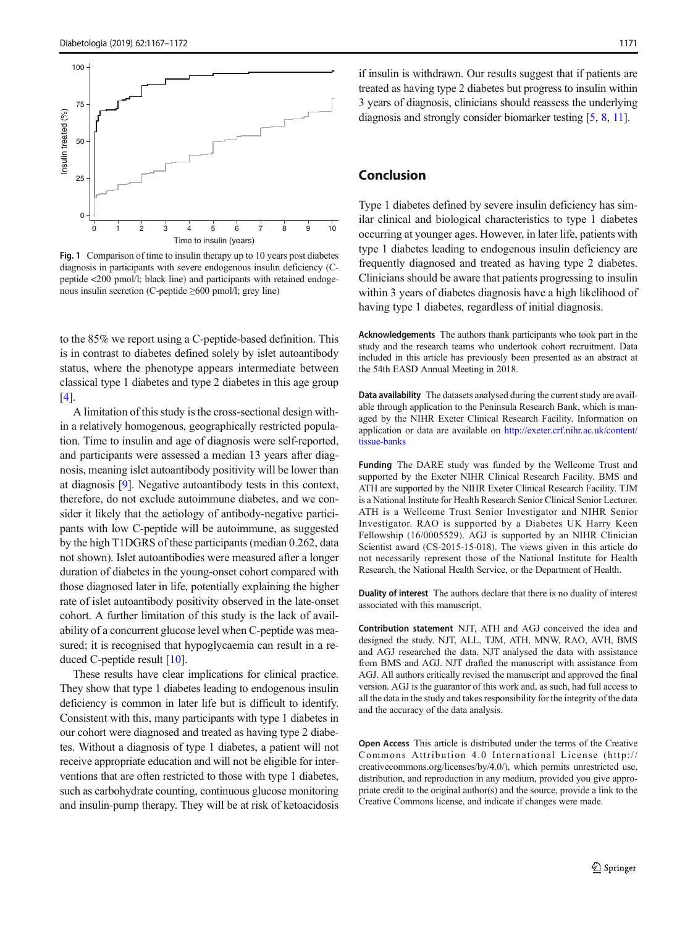<span id="page-4-0"></span>

Fig. 1 Comparison of time to insulin therapy up to 10 years post diabetes diagnosis in participants with severe endogenous insulin deficiency (Cpeptide <200 pmol/l; black line) and participants with retained endogenous insulin secretion (C-peptide ≥600 pmol/l; grey line)

to the 85% we report using a C-peptide-based definition. This is in contrast to diabetes defined solely by islet autoantibody status, where the phenotype appears intermediate between classical type 1 diabetes and type 2 diabetes in this age group [\[4](#page-5-0)].

A limitation of this study is the cross-sectional design within a relatively homogenous, geographically restricted population. Time to insulin and age of diagnosis were self-reported, and participants were assessed a median 13 years after diagnosis, meaning islet autoantibody positivity will be lower than at diagnosis [\[9](#page-5-0)]. Negative autoantibody tests in this context, therefore, do not exclude autoimmune diabetes, and we consider it likely that the aetiology of antibody-negative participants with low C-peptide will be autoimmune, as suggested by the high T1DGRS of these participants (median 0.262, data not shown). Islet autoantibodies were measured after a longer duration of diabetes in the young-onset cohort compared with those diagnosed later in life, potentially explaining the higher rate of islet autoantibody positivity observed in the late-onset cohort. A further limitation of this study is the lack of availability of a concurrent glucose level when C-peptide was measured; it is recognised that hypoglycaemia can result in a reduced C-peptide result [[10\]](#page-5-0).

These results have clear implications for clinical practice. They show that type 1 diabetes leading to endogenous insulin deficiency is common in later life but is difficult to identify. Consistent with this, many participants with type 1 diabetes in our cohort were diagnosed and treated as having type 2 diabetes. Without a diagnosis of type 1 diabetes, a patient will not receive appropriate education and will not be eligible for interventions that are often restricted to those with type 1 diabetes, such as carbohydrate counting, continuous glucose monitoring and insulin-pump therapy. They will be at risk of ketoacidosis if insulin is withdrawn. Our results suggest that if patients are treated as having type 2 diabetes but progress to insulin within 3 years of diagnosis, clinicians should reassess the underlying diagnosis and strongly consider biomarker testing [\[5](#page-5-0), [8](#page-5-0), [11](#page-5-0)].

## Conclusion

Type 1 diabetes defined by severe insulin deficiency has similar clinical and biological characteristics to type 1 diabetes occurring at younger ages. However, in later life, patients with type 1 diabetes leading to endogenous insulin deficiency are frequently diagnosed and treated as having type 2 diabetes. Clinicians should be aware that patients progressing to insulin within 3 years of diabetes diagnosis have a high likelihood of having type 1 diabetes, regardless of initial diagnosis.

Acknowledgements The authors thank participants who took part in the study and the research teams who undertook cohort recruitment. Data included in this article has previously been presented as an abstract at the 54th EASD Annual Meeting in 2018.

Data availability The datasets analysed during the current study are available through application to the Peninsula Research Bank, which is managed by the NIHR Exeter Clinical Research Facility. Information on application or data are available on [http://exeter.crf.nihr.ac.uk/content/](http://exeter.crf.nihr.ac.uk/content/tissue-banks) [tissue-banks](http://exeter.crf.nihr.ac.uk/content/tissue-banks)

Funding The DARE study was funded by the Wellcome Trust and supported by the Exeter NIHR Clinical Research Facility. BMS and ATH are supported by the NIHR Exeter Clinical Research Facility. TJM is a National Institute for Health Research Senior Clinical Senior Lecturer. ATH is a Wellcome Trust Senior Investigator and NIHR Senior Investigator. RAO is supported by a Diabetes UK Harry Keen Fellowship (16/0005529). AGJ is supported by an NIHR Clinician Scientist award (CS-2015-15-018). The views given in this article do not necessarily represent those of the National Institute for Health Research, the National Health Service, or the Department of Health.

Duality of interest The authors declare that there is no duality of interest associated with this manuscript.

Contribution statement NJT, ATH and AGJ conceived the idea and designed the study. NJT, ALL, TJM, ATH, MNW, RAO, AVH, BMS and AGJ researched the data. NJT analysed the data with assistance from BMS and AGJ. NJT drafted the manuscript with assistance from AGJ. All authors critically revised the manuscript and approved the final version. AGJ is the guarantor of this work and, as such, had full access to all the data in the study and takes responsibility for the integrity of the data and the accuracy of the data analysis.

Open Access This article is distributed under the terms of the Creative Commons Attribution 4.0 International License (http:// creativecommons.org/licenses/by/4.0/), which permits unrestricted use, distribution, and reproduction in any medium, provided you give appropriate credit to the original author(s) and the source, provide a link to the Creative Commons license, and indicate if changes were made.